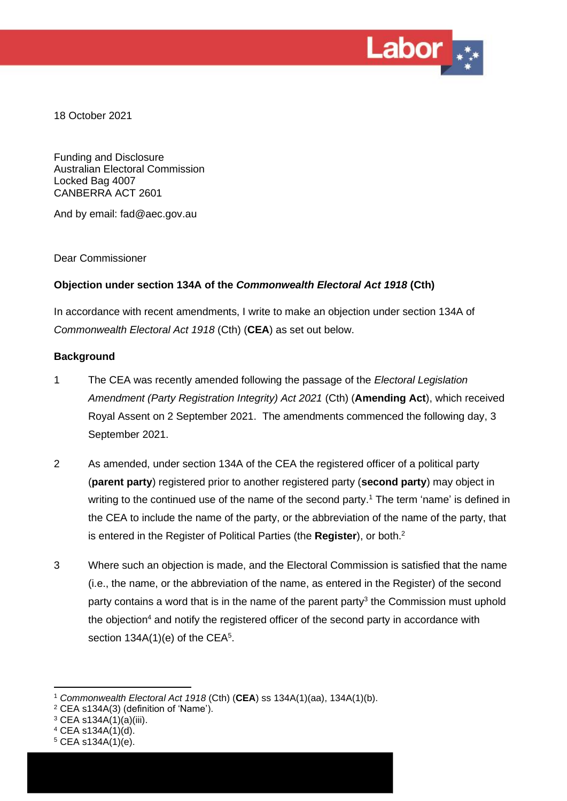

18 October 2021

Funding and Disclosure Australian Electoral Commission Locked Bag 4007 CANBERRA ACT 2601

And by email: fad@aec.gov.au

Dear Commissioner

# **Objection under section 134A of the** *Commonwealth Electoral Act 1918* **(Cth)**

In accordance with recent amendments, I write to make an objection under section 134A of *Commonwealth Electoral Act 1918* (Cth) (**CEA**) as set out below.

# **Background**

- 1 The CEA was recently amended following the passage of the *Electoral Legislation Amendment (Party Registration Integrity) Act 2021* (Cth) (**Amending Act**), which received Royal Assent on 2 September 2021. The amendments commenced the following day, 3 September 2021.
- 2 As amended, under section 134A of the CEA the registered officer of a political party (**parent party**) registered prior to another registered party (**second party**) may object in writing to the continued use of the name of the second party.<sup>1</sup> The term 'name' is defined in the CEA to include the name of the party, or the abbreviation of the name of the party, that is entered in the Register of Political Parties (the **Register**), or both. 2
- 3 Where such an objection is made, and the Electoral Commission is satisfied that the name (i.e., the name, or the abbreviation of the name, as entered in the Register) of the second party contains a word that is in the name of the parent party<sup>3</sup> the Commission must uphold the objection $4$  and notify the registered officer of the second party in accordance with section  $134A(1)(e)$  of the CEA<sup>5</sup>.

<sup>1</sup> *Commonwealth Electoral Act 1918* (Cth) (**CEA**) ss 134A(1)(aa), 134A(1)(b).

<sup>2</sup> CEA s134A(3) (definition of 'Name').

 $3$  CEA s134A(1)(a)(iii).

<sup>4</sup> CEA s134A(1)(d).

 $5$  CEA s134A(1)(e).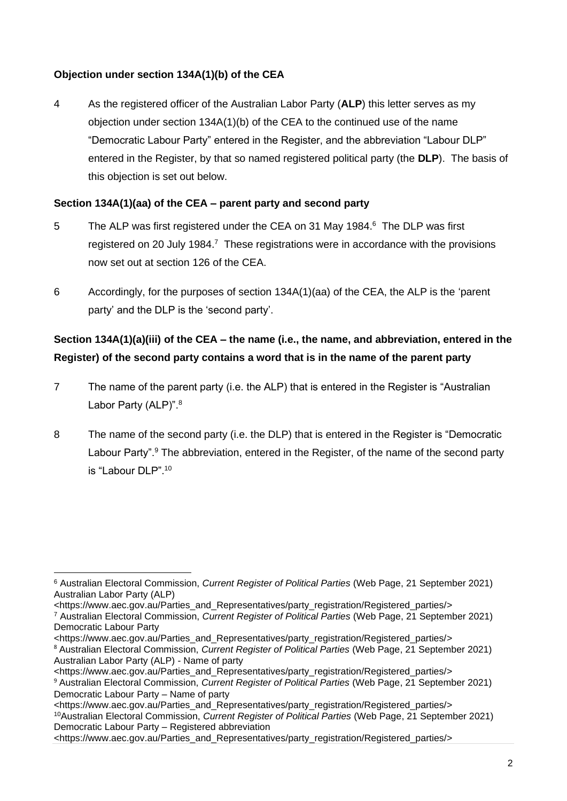# **Objection under section 134A(1)(b) of the CEA**

4 As the registered officer of the Australian Labor Party (**ALP**) this letter serves as my objection under section 134A(1)(b) of the CEA to the continued use of the name "Democratic Labour Party" entered in the Register, and the abbreviation "Labour DLP" entered in the Register, by that so named registered political party (the **DLP**). The basis of this objection is set out below.

# **Section 134A(1)(aa) of the CEA – parent party and second party**

- 5 The ALP was first registered under the CEA on 31 May 1984.<sup>6</sup> The DLP was first registered on 20 July 1984.<sup>7</sup> These registrations were in accordance with the provisions now set out at section 126 of the CEA.
- 6 Accordingly, for the purposes of section 134A(1)(aa) of the CEA, the ALP is the 'parent party' and the DLP is the 'second party'.

# **Section 134A(1)(a)(iii) of the CEA – the name (i.e., the name, and abbreviation, entered in the Register) of the second party contains a word that is in the name of the parent party**

- 7 The name of the parent party (i.e. the ALP) that is entered in the Register is "Australian Labor Party (ALP)".<sup>8</sup>
- 8 The name of the second party (i.e. the DLP) that is entered in the Register is "Democratic Labour Party".<sup>9</sup> The abbreviation, entered in the Register, of the name of the second party is "Labour DLP". 10

<sup>8</sup> Australian Electoral Commission, *Current Register of Political Parties* (Web Page, 21 September 2021) Australian Labor Party (ALP) - Name of party

<https://www.aec.gov.au/Parties\_and\_Representatives/party\_registration/Registered\_parties/>

<https://www.aec.gov.au/Parties\_and\_Representatives/party\_registration/Registered\_parties/> <sup>10</sup>Australian Electoral Commission, *Current Register of Political Parties* (Web Page, 21 September 2021) Democratic Labour Party – Registered abbreviation

<https://www.aec.gov.au/Parties\_and\_Representatives/party\_registration/Registered\_parties/>

<sup>6</sup> Australian Electoral Commission, *Current Register of Political Parties* (Web Page, 21 September 2021) Australian Labor Party (ALP)

<sup>&</sup>lt;https://www.aec.gov.au/Parties\_and\_Representatives/party\_registration/Registered\_parties/> <sup>7</sup> Australian Electoral Commission, *Current Register of Political Parties* (Web Page, 21 September 2021) Democratic Labour Party

<sup>&</sup>lt;https://www.aec.gov.au/Parties\_and\_Representatives/party\_registration/Registered\_parties/>

<sup>9</sup> Australian Electoral Commission, *Current Register of Political Parties* (Web Page, 21 September 2021) Democratic Labour Party – Name of party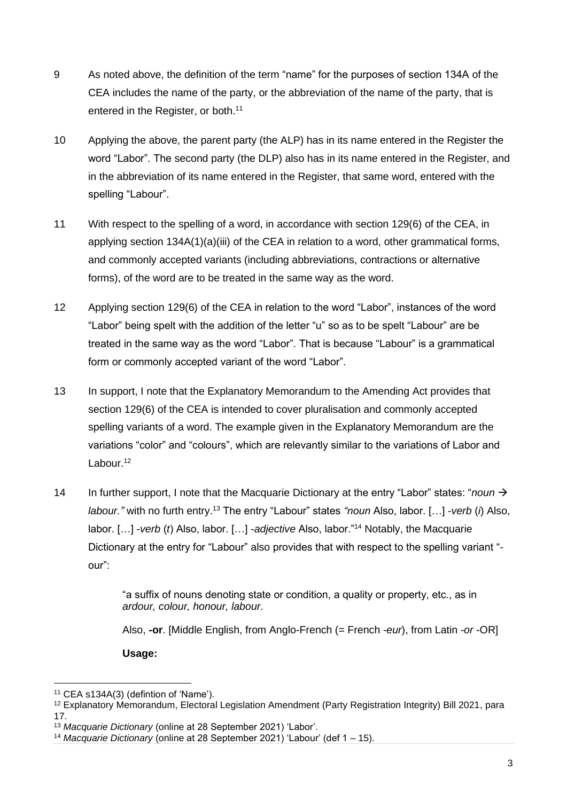- 9 As noted above, the definition of the term "name" for the purposes of section 134A of the CEA includes the name of the party, or the abbreviation of the name of the party, that is entered in the Register, or both.<sup>11</sup>
- 10 Applying the above, the parent party (the ALP) has in its name entered in the Register the word "Labor". The second party (the DLP) also has in its name entered in the Register, and in the abbreviation of its name entered in the Register, that same word, entered with the spelling "Labour".
- 11 With respect to the spelling of a word, in accordance with section 129(6) of the CEA, in applying section 134A(1)(a)(iii) of the CEA in relation to a word, other grammatical forms, and commonly accepted variants (including abbreviations, contractions or alternative forms), of the word are to be treated in the same way as the word.
- 12 Applying section 129(6) of the CEA in relation to the word "Labor", instances of the word "Labor" being spelt with the addition of the letter "u" so as to be spelt "Labour" are be treated in the same way as the word "Labor". That is because "Labour" is a grammatical form or commonly accepted variant of the word "Labor".
- 13 In support, I note that the Explanatory Memorandum to the Amending Act provides that section 129(6) of the CEA is intended to cover pluralisation and commonly accepted spelling variants of a word. The example given in the Explanatory Memorandum are the variations "color" and "colours", which are relevantly similar to the variations of Labor and Labour.<sup>12</sup>
- 14 In further support, I note that the Macquarie Dictionary at the entry "Labor" states: "*noun* → *labour."* with no furth entry.<sup>13</sup> The entry "Labour" states *"noun* Also, labor. […] -*verb* (*i*) Also, labor. […] -*verb* (*t*) Also, labor. […] -*adjective* Also, labor."<sup>14</sup> Notably, the Macquarie Dictionary at the entry for "Labour" also provides that with respect to the spelling variant " our":

"a suffix of nouns denoting state or condition, a quality or property, etc., as in *ardour, colour, honour, labour*.

Also, **-or**. [Middle English, from Anglo-French (= French *-eur*), from Latin *-or* -OR]

**Usage:**

<sup>11</sup> CEA s134A(3) (defintion of 'Name').

<sup>12</sup> Explanatory Memorandum, Electoral Legislation Amendment (Party Registration Integrity) Bill 2021, para 17.

<sup>13</sup> *Macquarie Dictionary* (online at 28 September 2021) 'Labor'.

<sup>14</sup> *Macquarie Dictionary* (online at 28 September 2021) 'Labour' (def 1 – 15).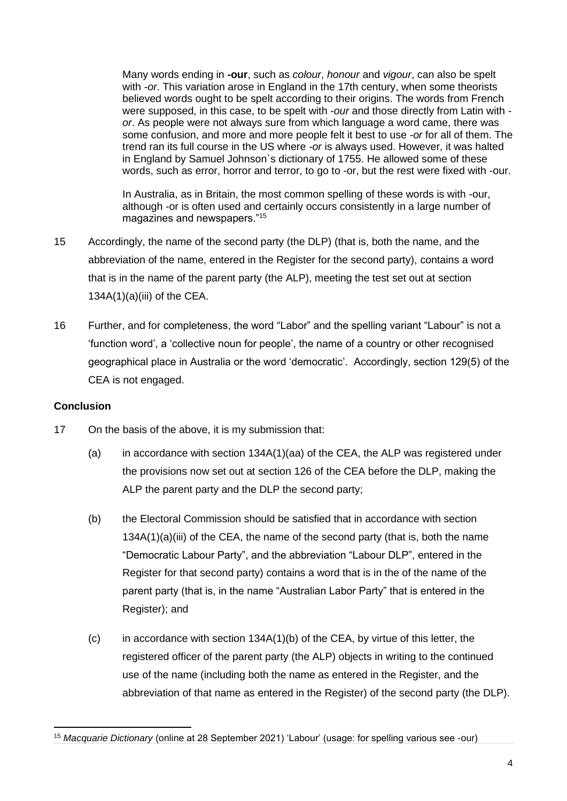Many words ending in **-our**, such as *colour*, *honour* and *vigour*, can also be spelt with *-or*. This variation arose in England in the 17th century, when some theorists believed words ought to be spelt according to their origins. The words from French were supposed, in this case, to be spelt with *-our* and those directly from Latin with  *or*. As people were not always sure from which language a word came, there was some confusion, and more and more people felt it best to use *-or* for all of them. The trend ran its full course in the US where *-or* is always used. However, it was halted in England by Samuel Johnson`s dictionary of 1755. He allowed some of these words, such as error, horror and terror, to go to -or, but the rest were fixed with -our.

In Australia, as in Britain, the most common spelling of these words is with -our, although -or is often used and certainly occurs consistently in a large number of magazines and newspapers."<sup>15</sup>

- 15 Accordingly, the name of the second party (the DLP) (that is, both the name, and the abbreviation of the name, entered in the Register for the second party), contains a word that is in the name of the parent party (the ALP), meeting the test set out at section  $134A(1)(a)(iii)$  of the CEA.
- 16 Further, and for completeness, the word "Labor" and the spelling variant "Labour" is not a 'function word', a 'collective noun for people', the name of a country or other recognised geographical place in Australia or the word 'democratic'. Accordingly, section 129(5) of the CEA is not engaged.

#### **Conclusion**

- 17 On the basis of the above, it is my submission that:
	- (a) in accordance with section  $134A(1)(aa)$  of the CEA, the ALP was registered under the provisions now set out at section 126 of the CEA before the DLP, making the ALP the parent party and the DLP the second party;
	- (b) the Electoral Commission should be satisfied that in accordance with section  $134A(1)(a)(iii)$  of the CEA, the name of the second party (that is, both the name "Democratic Labour Party", and the abbreviation "Labour DLP", entered in the Register for that second party) contains a word that is in the of the name of the parent party (that is, in the name "Australian Labor Party" that is entered in the Register); and
	- $(c)$  in accordance with section 134A(1)(b) of the CEA, by virtue of this letter, the registered officer of the parent party (the ALP) objects in writing to the continued use of the name (including both the name as entered in the Register, and the abbreviation of that name as entered in the Register) of the second party (the DLP).

<sup>15</sup> *Macquarie Dictionary* (online at 28 September 2021) 'Labour' (usage: for spelling various see -our)